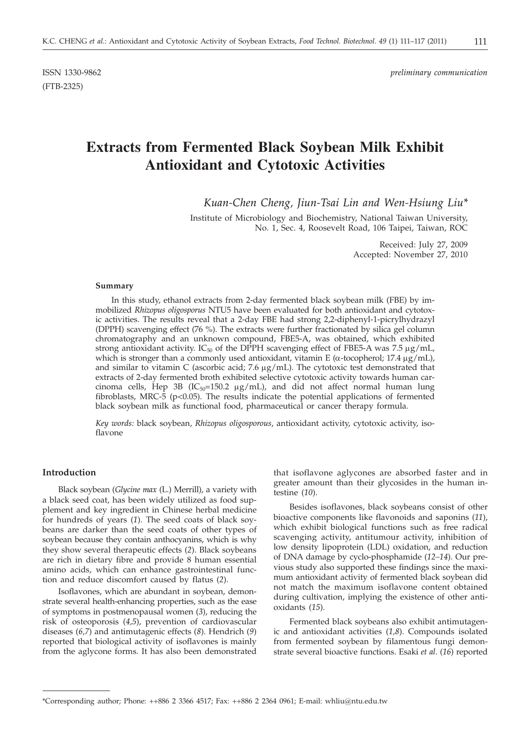ISSN 1330-9862 *preliminary communication*

# **Extracts from Fermented Black Soybean Milk Exhibit Antioxidant and Cytotoxic Activities**

*Kuan-Chen Cheng, Jiun-Tsai Lin and Wen-Hsiung Liu\**

Institute of Microbiology and Biochemistry, National Taiwan University, No. 1, Sec. 4, Roosevelt Road, 106 Taipei, Taiwan, ROC

> Received: July 27, 2009 Accepted: November 27, 2010

#### **Summary**

In this study, ethanol extracts from 2-day fermented black soybean milk (FBE) by immobilized *Rhizopus oligosporus* NTU5 have been evaluated for both antioxidant and cytotoxic activities. The results reveal that a 2-day FBE had strong 2,2-diphenyl-1-picrylhydrazyl (DPPH) scavenging effect (76 %). The extracts were further fractionated by silica gel column chromatography and an unknown compound, FBE5-A, was obtained, which exhibited strong antioxidant activity. IC<sub>50</sub> of the DPPH scavenging effect of FBE5-A was 7.5  $\mu$ g/mL, which is stronger than a commonly used antioxidant, vitamin E ( $\alpha$ -tocopherol; 17.4  $\mu$ g/mL), and similar to vitamin C (ascorbic acid;  $7.6 \mu g/mL$ ). The cytotoxic test demonstrated that extracts of 2-day fermented broth exhibited selective cytotoxic activity towards human carcinoma cells, Hep 3B (IC<sub>50</sub>=150.2  $\mu$ g/mL), and did not affect normal human lung fibroblasts, MRC-5 ( $p$ <0.05). The results indicate the potential applications of fermented black soybean milk as functional food, pharmaceutical or cancer therapy formula.

*Key words:* black soybean, *Rhizopus oligosporous*, antioxidant activity, cytotoxic activity, isoflavone

# **Introduction**

Black soybean (*Glycine max* (L.) Merrill), a variety with a black seed coat, has been widely utilized as food supplement and key ingredient in Chinese herbal medicine for hundreds of years (*1*). The seed coats of black soybeans are darker than the seed coats of other types of soybean because they contain anthocyanins, which is why they show several therapeutic effects (*2*). Black soybeans are rich in dietary fibre and provide 8 human essential amino acids, which can enhance gastrointestinal function and reduce discomfort caused by flatus (*2*).

Isoflavones, which are abundant in soybean, demonstrate several health-enhancing properties, such as the ease of symptoms in postmenopausal women (*3*), reducing the risk of osteoporosis (*4,5*), prevention of cardiovascular diseases (*6,7*) and antimutagenic effects (*8*). Hendrich (*9*) reported that biological activity of isoflavones is mainly from the aglycone forms. It has also been demonstrated that isoflavone aglycones are absorbed faster and in greater amount than their glycosides in the human intestine (*10*).

Besides isoflavones, black soybeans consist of other bioactive components like flavonoids and saponins (*11*), which exhibit biological functions such as free radical scavenging activity, antitumour activity, inhibition of low density lipoprotein (LDL) oxidation, and reduction of DNA damage by cyclo-phosphamide (*12–14*). Our previous study also supported these findings since the maximum antioxidant activity of fermented black soybean did not match the maximum isoflavone content obtained during cultivation, implying the existence of other antioxidants (*15*).

Fermented black soybeans also exhibit antimutagenic and antioxidant activities (*1,8*). Compounds isolated from fermented soybean by filamentous fungi demonstrate several bioactive functions. Esaki *et al*. (*16*) reported

<sup>\*</sup>Corresponding author; Phone: ++886 2 3366 4517; Fax: ++886 2 2364 0961; E-mail: whliu@ntu.edu.tw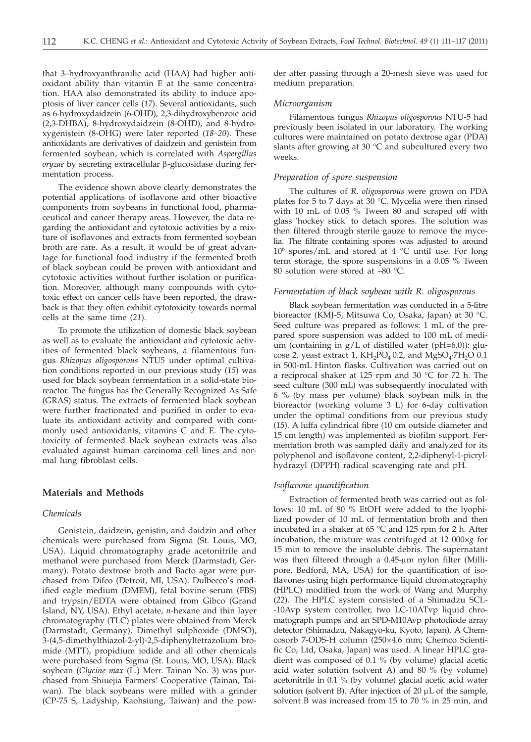that 3–hydroxyanthranilic acid (HAA) had higher antioxidant ability than vitamin E at the same concentration. HAA also demonstrated its ability to induce apoptosis of liver cancer cells (*17*). Several antioxidants, such as 6-hydroxydaidzein (6-OHD), 2,3-dihydroxybenzoic acid (2,3-DHBA), 8-hydroxydaidzein (8-OHD), and 8-hydroxygenistein (8-OHG) were later reported (*18–20*). These antioxidants are derivatives of daidzein and genistein from fermented soybean, which is correlated with *Aspergillus oryzae* by secreting extracellular β-glucosidase during fermentation process.

The evidence shown above clearly demonstrates the potential applications of isoflavone and other bioactive components from soybeans in functional food, pharmaceutical and cancer therapy areas. However, the data regarding the antioxidant and cytotoxic activities by a mixture of isoflavones and extracts from fermented soybean broth are rare. As a result, it would be of great advantage for functional food industry if the fermented broth of black soybean could be proven with antioxidant and cytotoxic activities without further isolation or purification. Moreover, although many compounds with cytotoxic effect on cancer cells have been reported, the drawback is that they often exhibit cytotoxicity towards normal cells at the same time (*21*).

To promote the utilization of domestic black soybean as well as to evaluate the antioxidant and cytotoxic activities of fermented black soybeans, a filamentous fungus *Rhizopus oligosporous* NTU5 under optimal cultivation conditions reported in our previous study (*15*) was used for black soybean fermentation in a solid-state bioreactor. The fungus has the Generally Recognized As Safe (GRAS) status. The extracts of fermented black soybean were further fractionated and purified in order to evaluate its antioxidant activity and compared with commonly used antioxidants, vitamins C and E. The cytotoxicity of fermented black soybean extracts was also evaluated against human carcinoma cell lines and normal lung fibroblast cells.

# **Materials and Methods**

# *Chemicals*

Genistein, daidzein, genistin, and daidzin and other chemicals were purchased from Sigma (St. Louis, MO, USA). Liquid chromatography grade acetonitrile and methanol were purchased from Merck (Darmstadt, Germany). Potato dextrose broth and Bacto agar were purchased from Difco (Detroit, MI, USA). Dulbecco's modified eagle medium (DMEM), fetal bovine serum (FBS) and trypsin/EDTA were obtained from Gibco (Grand Island, NY, USA). Ethyl acetate, *n*-hexane and thin layer chromatography (TLC) plates were obtained from Merck (Darmstadt, Germany). Dimethyl sulphoxide (DMSO), 3-(4,5-dimethylthiazol-2-yl)-2,5-diphenyltetrazolium bromide (MTT), propidium iodide and all other chemicals were purchased from Sigma (St. Louis, MO, USA). Black soybean (*Glycine max* (L.) Merr. Tainan No. 3) was purchased from Shiuejia Farmers' Cooperative (Tainan, Taiwan). The black soybeans were milled with a grinder (CP-75 S, Ladyship, Kaohsiung, Taiwan) and the pow-

der after passing through a 20-mesh sieve was used for medium preparation.

#### *Microorganism*

Filamentous fungus *Rhizopus oligosporous* NTU-5 had previously been isolated in our laboratory. The working cultures were maintained on potato dextrose agar (PDA) slants after growing at 30 °C and subcultured every two weeks.

# *Preparation of spore suspension*

The cultures of *R. oligosporous* were grown on PDA plates for 5 to 7 days at 30  $^{\circ}$ C. Mycelia were then rinsed with 10 mL of  $0.05\%$  Tween 80 and scraped off with glass 'hockey stick' to detach spores. The solution was then filtered through sterile gauze to remove the mycelia. The filtrate containing spores was adjusted to around 106 spores/mL and stored at 4 °C until use. For long term storage, the spore suspensions in a 0.05 % Tween 80 solution were stored at –80 °C.

#### *Fermentation of black soybean with R. oligosporous*

Black soybean fermentation was conducted in a 5-litre bioreactor (KMJ-5, Mitsuwa Co, Osaka, Japan) at 30 °C. Seed culture was prepared as follows: 1 mL of the prepared spore suspension was added to 100 mL of medium (containing in  $g/L$  of distilled water (pH=6.0)): glucose 2, yeast extract 1,  $KH_2PO_4$  0.2, and  $MgSO_4$  $TH_2O$  0.1 in 500-mL Hinton flasks. Cultivation was carried out on a reciprocal shaker at 125 rpm and 30 °C for 72 h. The seed culture (300 mL) was subsequently inoculated with 6 % (by mass per volume) black soybean milk in the bioreactor (working volume 3 L) for 6-day cultivation under the optimal conditions from our previous study (*15*). A luffa cylindrical fibre (10 cm outside diameter and 15 cm length) was implemented as biofilm support. Fermentation broth was sampled daily and analyzed for its polyphenol and isoflavone content, 2,2-diphenyl-1-picrylhydrazyl (DPPH) radical scavenging rate and pH.

# *Isoflavone quantification*

Extraction of fermented broth was carried out as follows: 10 mL of 80 % EtOH were added to the lyophilized powder of 10 mL of fermentation broth and then incubated in a shaker at 65 °C and 125 rpm for 2 h. After incubation, the mixture was centrifuged at 12 000×*g* for 15 min to remove the insoluble debris. The supernatant was then filtered through a  $0.45$ -µm nylon filter (Millipore, Bedford, MA, USA) for the quantification of isoflavones using high performance liquid chromatography (HPLC) modified from the work of Wang and Murphy (*22*). The HPLC system consisted of a Shimadzu SCL- -10Avp system controller, two LC-10ATvp liquid chromatograph pumps and an SPD-M10Avp photodiode array detector (Shimadzu, Nakagyo-ku, Kyoto, Japan). A Chemcosorb 7-ODS-H column (250×4.6 mm; Chemco Scientific Co, Ltd, Osaka, Japan) was used. A linear HPLC gradient was composed of 0.1 % (by volume) glacial acetic acid water solution (solvent A) and 80 % (by volume) acetonitrile in 0.1 % (by volume) glacial acetic acid water solution (solvent B). After injection of  $20 \mu L$  of the sample, solvent B was increased from 15 to 70 % in 25 min, and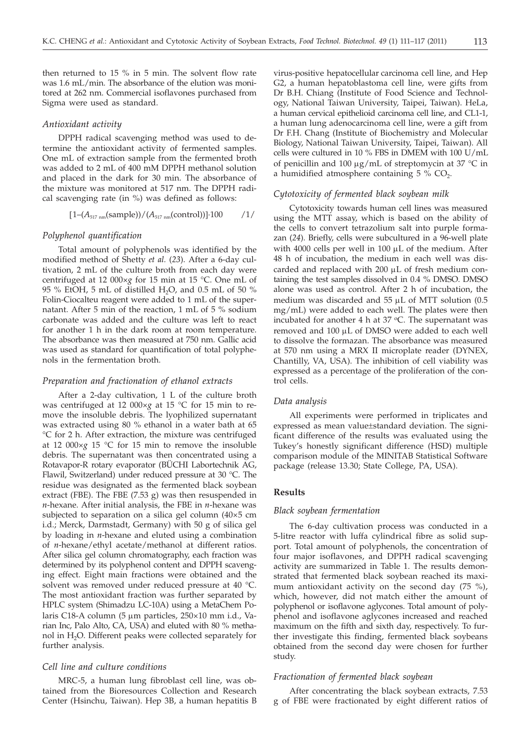then returned to 15 % in 5 min. The solvent flow rate was 1.6 mL/min. The absorbance of the elution was monitored at 262 nm. Commercial isoflavones purchased from Sigma were used as standard.

#### *Antioxidant activity*

DPPH radical scavenging method was used to determine the antioxidant activity of fermented samples. One mL of extraction sample from the fermented broth was added to 2 mL of 400 mM DPPH methanol solution and placed in the dark for 30 min. The absorbance of the mixture was monitored at 517 nm. The DPPH radical scavenging rate (in %) was defined as follows:

$$
[1-(A_{517\text{ nm}}(\text{sample}))/(A_{517\text{ nm}}(\text{control}))]\cdot 100
$$
 / 1/

# *Polyphenol quantification*

Total amount of polyphenols was identified by the modified method of Shetty *et al.* (*23*). After a 6-day cultivation, 2 mL of the culture broth from each day were centrifuged at 12 000×*g* for 15 min at 15 °C. One mL of 95 % EtOH, 5 mL of distilled H<sub>2</sub>O, and 0.5 mL of 50 % Folin-Ciocalteu reagent were added to 1 mL of the supernatant. After 5 min of the reaction, 1 mL of 5 % sodium carbonate was added and the culture was left to react for another 1 h in the dark room at room temperature. The absorbance was then measured at 750 nm. Gallic acid was used as standard for quantification of total polyphenols in the fermentation broth.

## *Preparation and fractionation of ethanol extracts*

After a 2-day cultivation, 1 L of the culture broth was centrifuged at 12 000×*g* at 15 °C for 15 min to remove the insoluble debris. The lyophilized supernatant was extracted using 80 % ethanol in a water bath at 65 °C for 2 h. After extraction, the mixture was centrifuged at 12 000×*g* 15 °C for 15 min to remove the insoluble debris. The supernatant was then concentrated using a Rotavapor-R rotary evaporator (BÜCHI Labortechnik AG, Flawil, Switzerland) under reduced pressure at 30 °C. The residue was designated as the fermented black soybean extract (FBE). The FBE (7.53 g) was then resuspended in *n*-hexane. After initial analysis, the FBE in *n*-hexane was subjected to separation on a silica gel column (40×5 cm i.d.; Merck, Darmstadt, Germany) with 50 g of silica gel by loading in *n*-hexane and eluted using a combination of *n*-hexane/ethyl acetate/methanol at different ratios. After silica gel column chromatography, each fraction was determined by its polyphenol content and DPPH scavenging effect. Eight main fractions were obtained and the solvent was removed under reduced pressure at 40 °C. The most antioxidant fraction was further separated by HPLC system (Shimadzu LC-10A) using a MetaChem Polaris C18-A column (5  $\mu$ m particles, 250×10 mm i.d., Varian Inc, Palo Alto, CA, USA) and eluted with 80 % methanol in H<sub>2</sub>O. Different peaks were collected separately for further analysis.

## *Cell line and culture conditions*

MRC-5, a human lung fibroblast cell line, was obtained from the Bioresources Collection and Research Center (Hsinchu, Taiwan). Hep 3B, a human hepatitis B

virus-positive hepatocellular carcinoma cell line, and Hep G2, a human hepatoblastoma cell line, were gifts from Dr B.H. Chiang (Institute of Food Science and Technology, National Taiwan University, Taipei, Taiwan). HeLa, a human cervical epithelioid carcinoma cell line, and CL1-1, a human lung adenocarcinoma cell line, were a gift from Dr F.H. Chang (Institute of Biochemistry and Molecular Biology, National Taiwan University, Taipei, Taiwan). All cells were cultured in 10 % FBS in DMEM with 100 U/mL of penicillin and 100  $\mu$ g/mL of streptomycin at 37 °C in a humidified atmosphere containing  $5\%$  CO<sub>2</sub>.

# *Cytotoxicity of fermented black soybean milk*

Cytotoxicity towards human cell lines was measured using the MTT assay, which is based on the ability of the cells to convert tetrazolium salt into purple formazan (*24*). Briefly, cells were subcultured in a 96-well plate with 4000 cells per well in 100  $\mu$ L of the medium. After 48 h of incubation, the medium in each well was discarded and replaced with  $200 \mu L$  of fresh medium containing the test samples dissolved in 0.4 % DMSO. DMSO alone was used as control. After 2 h of incubation, the medium was discarded and  $55 \mu L$  of MTT solution (0.5 mg/mL) were added to each well. The plates were then incubated for another 4 h at  $37$  °C. The supernatant was removed and 100 µL of DMSO were added to each well to dissolve the formazan. The absorbance was measured at 570 nm using a MRX II microplate reader (DYNEX, Chantilly, VA, USA). The inhibition of cell viability was expressed as a percentage of the proliferation of the control cells.

#### *Data analysis*

All experiments were performed in triplicates and expressed as mean value±standard deviation. The significant difference of the results was evaluated using the Tukey's honestly significant difference (HSD) multiple comparison module of the MINITAB Statistical Software package (release 13.30; State College, PA, USA).

#### **Results**

# *Black soybean fermentation*

The 6-day cultivation process was conducted in a 5-litre reactor with luffa cylindrical fibre as solid support. Total amount of polyphenols, the concentration of four major isoflavones, and DPPH radical scavenging activity are summarized in Table 1. The results demonstrated that fermented black soybean reached its maximum antioxidant activity on the second day (75 %), which, however, did not match either the amount of polyphenol or isoflavone aglycones. Total amount of polyphenol and isoflavone aglycones increased and reached maximum on the fifth and sixth day, respectively. To further investigate this finding, fermented black soybeans obtained from the second day were chosen for further study.

# *Fractionation of fermented black soybean*

After concentrating the black soybean extracts, 7.53 g of FBE were fractionated by eight different ratios of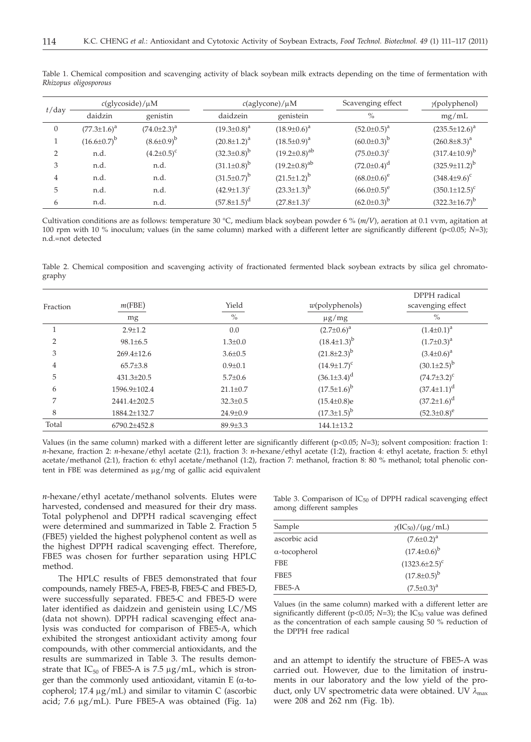| $t$ /day | $c$ (glycoside)/ $\mu$ M |                     | $c$ (aglycone)/ $\mu$ M |                       | Scavenging effect  | $\gamma$ (polyphenol)   |
|----------|--------------------------|---------------------|-------------------------|-----------------------|--------------------|-------------------------|
|          | daidzin                  | genistin            | daidzein                | genistein             | $\%$               | mg/mL                   |
| 0        | $(77.3 \pm 1.6)^a$       | $(74.0 \pm 2.3)^a$  | $(19.3 \pm 0.8)^a$      | $(18.9 \pm 0.6)^a$    | $(52.0 \pm 0.5)^a$ | $(235.5 \pm 12.6)^a$    |
|          | $(16.6 \pm 0.7)^b$       | $(8.6 \pm 0.9)^{b}$ | $(20.8 \pm 1.2)^a$      | $(18.5 \pm 0.9)^a$    | $(60.0 \pm 0.3)^b$ | $(260.8 \pm 8.3)^a$     |
| 2        | n.d.                     | $(4.2 \pm 0.5)^c$   | $(32.3 \pm 0.8)^b$      | $(19.2 \pm 0.8)^{ab}$ | $(75.0 \pm 0.3)^c$ | $(317.4 \pm 10.9)^b$    |
| 3        | n.d.                     | n.d.                | $(31.1\pm0.8)^{b}$      | $(19.2 \pm 0.8)^{ab}$ | $(72.0 \pm 0.4)^d$ | $(325.9 \pm 11.2)^{b}$  |
| 4        | n.d.                     | n.d.                | $(31.5 \pm 0.7)^b$      | $(21.5 \pm 1.2)^{b}$  | $(68.0 \pm 0.6)^e$ | $(348.4\pm9.6)^{\circ}$ |
| 5        | n.d.                     | n.d.                | $(42.9 \pm 1.3)^c$      | $(23.3 \pm 1.3)^b$    | $(66.0 \pm 0.5)^e$ | $(350.1 \pm 12.5)^c$    |
| 6        | n.d.                     | n.d.                | $(57.8 \pm 1.5)^d$      | $(27.8 \pm 1.3)^c$    | $(62.0 \pm 0.3)^b$ | $(322.3 \pm 16.7)^b$    |

Table 1. Chemical composition and scavenging activity of black soybean milk extracts depending on the time of fermentation with *Rhizopus oligosporous*

Cultivation conditions are as follows: temperature 30 °C, medium black soybean powder 6 % (*m*/V), aeration at 0.1 vvm, agitation at 100 rpm with 10 % inoculum; values (in the same column) marked with a different letter are significantly different (p<0.05; *N*=3); n.d.=not detected

Table 2. Chemical composition and scavenging activity of fractionated fermented black soybean extracts by silica gel chromatography

| Fraction | m(FBE)           | Yield          | $w$ (polyphenols)    | DPPH radical<br>scavenging effect |  |
|----------|------------------|----------------|----------------------|-----------------------------------|--|
|          | mg               | $\%$           | $\mu$ g/mg           | $\%$                              |  |
|          | $2.9 \pm 1.2$    | 0.0            | $(2.7 \pm 0.6)^a$    | $(1.4 \pm 0.1)^a$                 |  |
| 2        | $98.1 \pm 6.5$   | $1.3 \pm 0.0$  | $(18.4 \pm 1.3)^{b}$ | $(1.7 \pm 0.3)^a$                 |  |
| 3        | $269.4 \pm 12.6$ | $3.6 \pm 0.5$  | $(21.8 \pm 2.3)^{b}$ | $(3.4 \pm 0.6)^a$                 |  |
| 4        | $65.7{\pm}3.8$   | $0.9 \pm 0.1$  | $(14.9 \pm 1.7)^c$   | $(30.1 \pm 2.5)^{b}$              |  |
| 5        | $431.3 \pm 20.5$ | $5.7 \pm 0.6$  | $(36.1\pm3.4)^d$     | $(74.7 \pm 3.2)^c$                |  |
| 6        | 1596.9±102.4     | $21.1 \pm 0.7$ | $(17.5 \pm 1.6)^b$   | $(37.4 \pm 1.1)^d$                |  |
| 7        | 2441.4±202.5     | $32.3 \pm 0.5$ | $(15.4 \pm 0.8)e$    | $(37.2 \pm 1.6)^d$                |  |
| 8        | 1884.2±132.7     | $24.9 \pm 0.9$ | $(17.3 \pm 1.5)^{b}$ | $(52.3 \pm 0.8)^e$                |  |
| Total    | 6790.2±452.8     | 89.9±3.3       | $144.1 \pm 13.2$     |                                   |  |

Values (in the same column) marked with a different letter are significantly different (p<0.05; *N*=3); solvent composition: fraction 1: *n*-hexane, fraction 2: *n*-hexane/ethyl acetate (2:1), fraction 3: *n*-hexane/ethyl acetate (1:2), fraction 4: ethyl acetate, fraction 5: ethyl acetate/methanol (2:1), fraction 6: ethyl acetate/methanol (1:2), fraction 7: methanol, fraction 8: 80 % methanol; total phenolic content in FBE was determined as  $\mu$ g/mg of gallic acid equivalent

*n*-hexane/ethyl acetate/methanol solvents. Elutes were harvested, condensed and measured for their dry mass. Total polyphenol and DPPH radical scavenging effect were determined and summarized in Table 2. Fraction 5 (FBE5) yielded the highest polyphenol content as well as the highest DPPH radical scavenging effect. Therefore, FBE5 was chosen for further separation using HPLC method.

The HPLC results of FBE5 demonstrated that four compounds, namely FBE5-A, FBE5-B, FBE5-C and FBE5-D, were successfully separated. FBE5-C and FBE5-D were later identified as daidzein and genistein using LC/MS (data not shown). DPPH radical scavenging effect analysis was conducted for comparison of FBE5-A, which exhibited the strongest antioxidant activity among four compounds, with other commercial antioxidants, and the results are summarized in Table 3. The results demonstrate that  $IC_{50}$  of FBE5-A is 7.5  $\mu$ g/mL, which is stronger than the commonly used antioxidant, vitamin  $E$  ( $\alpha$ -tocopherol;  $17.4 \mu g/mL$ ) and similar to vitamin C (ascorbic acid; 7.6  $\mu$ g/mL). Pure FBE5-A was obtained (Fig. 1a)

Table 3. Comparison of IC<sub>50</sub> of DPPH radical scavenging effect among different samples

| Sample               | $\gamma$ (IC <sub>50</sub> )/( $\mu$ g/mL) |
|----------------------|--------------------------------------------|
| ascorbic acid        | $(7.6 \pm 0.2)^a$                          |
| $\alpha$ -tocopherol | $(17.4 \pm 0.6)^b$                         |
| <b>FBE</b>           | $(1323.6 \pm 2.5)^c$                       |
| FBE <sub>5</sub>     | $(17.8 \pm 0.5)^{b}$                       |
| FBE5-A               | $(7.5 \pm 0.3)^a$                          |
|                      |                                            |

Values (in the same column) marked with a different letter are significantly different ( $p$ <0.05;  $N=3$ ); the  $IC_{50}$  value was defined as the concentration of each sample causing 50 % reduction of the DPPH free radical

and an attempt to identify the structure of FBE5-A was carried out. However, due to the limitation of instruments in our laboratory and the low yield of the product, only UV spectrometric data were obtained. UV  $\lambda_{\text{max}}$ were 208 and 262 nm (Fig. 1b).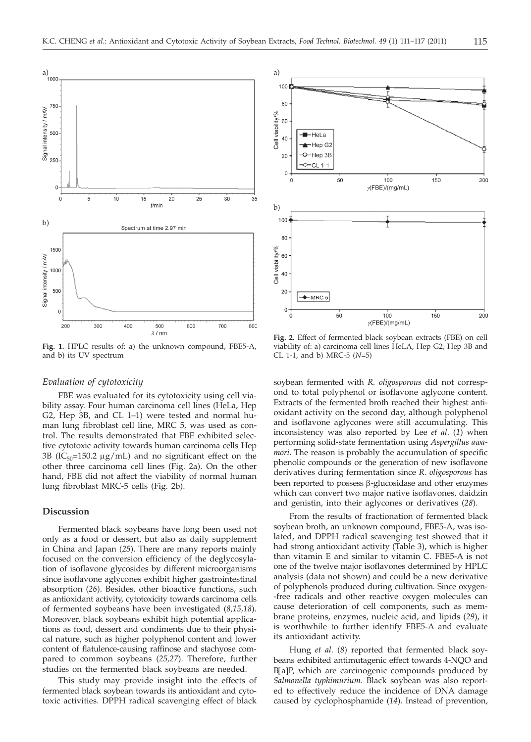

**Fig. 1.** HPLC results of: a) the unknown compound, FBE5-A, and b) its UV spectrum

## *Evaluation of cytotoxicity*

FBE was evaluated for its cytotoxicity using cell viability assay. Four human carcinoma cell lines (HeLa, Hep G2, Hep 3B, and CL 1–1) were tested and normal human lung fibroblast cell line, MRC 5, was used as control. The results demonstrated that FBE exhibited selective cytotoxic activity towards human carcinoma cells Hep 3B (IC<sub>50</sub>=150.2  $\mu$ g/mL) and no significant effect on the other three carcinoma cell lines (Fig. 2a). On the other hand, FBE did not affect the viability of normal human lung fibroblast MRC-5 cells (Fig. 2b).

# **Discussion**

Fermented black soybeans have long been used not only as a food or dessert, but also as daily supplement in China and Japan (*25*). There are many reports mainly focused on the conversion efficiency of the deglycosylation of isoflavone glycosides by different microorganisms since isoflavone aglycones exhibit higher gastrointestinal absorption (*26*). Besides, other bioactive functions, such as antioxidant activity, cytotoxicity towards carcinoma cells of fermented soybeans have been investigated (*8,15,18*). Moreover, black soybeans exhibit high potential applications as food, dessert and condiments due to their physical nature, such as higher polyphenol content and lower content of flatulence-causing raffinose and stachyose compared to common soybeans (*25,27*). Therefore, further studies on the fermented black soybeans are needed.

This study may provide insight into the effects of fermented black soybean towards its antioxidant and cytotoxic activities. DPPH radical scavenging effect of black



**Fig. 2.** Effect of fermented black soybean extracts (FBE) on cell viability of: a) carcinoma cell lines HeLA, Hep G2, Hep 3B and CL 1-1, and b) MRC-5 (*N*=5)

soybean fermented with *R. oligosporous* did not correspond to total polyphenol or isoflavone aglycone content. Extracts of the fermented broth reached their highest antioxidant activity on the second day, although polyphenol and isoflavone aglycones were still accumulating. This inconsistency was also reported by Lee *et al*. (*1*) when performing solid-state fermentation using *Aspergillus awamori*. The reason is probably the accumulation of specific phenolic compounds or the generation of new isoflavone derivatives during fermentation since *R. oligosporous* has been reported to possess  $\beta$ -glucosidase and other enzymes which can convert two major native isoflavones, daidzin and genistin, into their aglycones or derivatives (*28*).

From the results of fractionation of fermented black soybean broth, an unknown compound, FBE5-A, was isolated, and DPPH radical scavenging test showed that it had strong antioxidant activity (Table 3), which is higher than vitamin E and similar to vitamin C. FBE5-A is not one of the twelve major isoflavones determined by HPLC analysis (data not shown) and could be a new derivative of polyphenols produced during cultivation. Since oxygen- -free radicals and other reactive oxygen molecules can cause deterioration of cell components, such as membrane proteins, enzymes, nucleic acid, and lipids (*29*), it is worthwhile to further identify FBE5-A and evaluate its antioxidant activity.

Hung *et al*. (*8*) reported that fermented black soybeans exhibited antimutagenic effect towards 4-NQO and <sup>B</sup>[a]P, which are carcinogenic compounds produced by *Salmonella typhimurium*. Black soybean was also reported to effectively reduce the incidence of DNA damage caused by cyclophosphamide (*14*). Instead of prevention,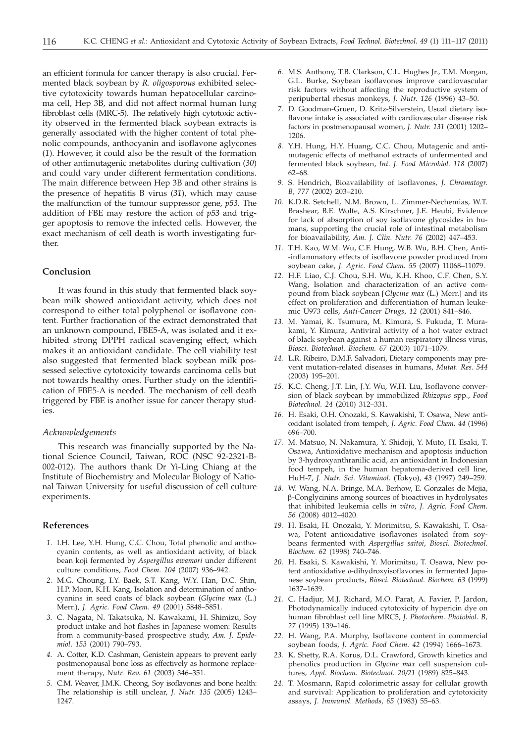an efficient formula for cancer therapy is also crucial. Fermented black soybean by *R. oligosporous* exhibited selective cytotoxicity towards human hepatocellular carcinoma cell, Hep 3B, and did not affect normal human lung fibroblast cells (MRC-5). The relatively high cytotoxic activity observed in the fermented black soybean extracts is generally associated with the higher content of total phenolic compounds, anthocyanin and isoflavone aglycones (*1*). However, it could also be the result of the formation of other antimutagenic metabolites during cultivation (*30*) and could vary under different fermentation conditions. The main difference between Hep 3B and other strains is the presence of hepatitis B virus (*31*), which may cause the malfunction of the tumour suppressor gene, *p53*. The addition of FBE may restore the action of *p53* and trigger apoptosis to remove the infected cells. However, the exact mechanism of cell death is worth investigating further.

## **Conclusion**

It was found in this study that fermented black soybean milk showed antioxidant activity, which does not correspond to either total polyphenol or isoflavone content. Further fractionation of the extract demonstrated that an unknown compound, FBE5-A, was isolated and it exhibited strong DPPH radical scavenging effect, which makes it an antioxidant candidate. The cell viability test also suggested that fermented black soybean milk possessed selective cytotoxicity towards carcinoma cells but not towards healthy ones. Further study on the identification of FBE5-A is needed. The mechanism of cell death triggered by FBE is another issue for cancer therapy studies.

## *Acknowledgements*

This research was financially supported by the National Science Council, Taiwan, ROC (NSC 92-2321-B-002-012). The authors thank Dr Yi-Ling Chiang at the Institute of Biochemistry and Molecular Biology of National Taiwan University for useful discussion of cell culture experiments.

# **References**

- *1.* I.H. Lee, Y.H. Hung, C.C. Chou, Total phenolic and anthocyanin contents, as well as antioxidant activity, of black bean koji fermented by *Aspergillus awamori* under different culture conditions, *Food Chem*. *104* (2007) 936–942.
- *2.* M.G. Choung, I.Y. Baek, S.T. Kang, W.Y. Han, D.C. Shin, H.P. Moon, K.H. Kang, Isolation and determination of anthocyanins in seed coats of black soybean (*Glycine max* (L.) Merr.), *J. Agric. Food Chem*. *49* (2001) 5848–5851.
- *3.* C. Nagata, N. Takatsuka, N. Kawakami, H. Shimizu, Soy product intake and hot flashes in Japanese women: Results from a community-based prospective study, *Am. J. Epidemiol*. *153* (2001) 790–793.
- *4.* A. Cotter, K.D. Cashman, Genistein appears to prevent early postmenopausal bone loss as effectively as hormone replacement therapy, *Nutr. Rev*. *61* (2003) 346–351.
- *5.* C.M. Weaver, J.M.K. Cheong, Soy isoflavones and bone health: The relationship is still unclear, *J. Nutr*. *135* (2005) 1243– 1247.
- *6.* M.S. Anthony, T.B. Clarkson, C.L. Hughes Jr., T.M. Morgan, G.L. Burke, Soybean isoflavones improve cardiovascular risk factors without affecting the reproductive system of peripubertal rhesus monkeys, *J. Nutr*. *126* (1996) 43–50.
- *7.* D. Goodman-Gruen, D. Kritz-Silverstein, Usual dietary isoflavone intake is associated with cardiovascular disease risk factors in postmenopausal women, *J. Nutr. 131* (2001) 1202– 1206.
- *8.* Y.H. Hung, H.Y. Huang, C.C. Chou, Mutagenic and antimutagenic effects of methanol extracts of unfermented and fermented black soybean, *Int. J. Food Microbiol. 118* (2007) 62–68.
- *9.* S. Hendrich, Bioavailability of isoflavones*, J. Chromatogr. B, 777* (2002) 203–210.
- *10.* K.D.R. Setchell, N.M. Brown, L. Zimmer-Nechemias, W.T. Brashear, B.E. Wolfe, A.S. Kirschner, J.E. Heubi, Evidence for lack of absorption of soy isoflavone glycosides in humans, supporting the crucial role of intestinal metabolism for bioavailability, *Am. J. Clin. Nutr. 76* (2002) 447–453.
- *11.* T.H. Kao, W.M. Wu, C.F. Hung, W.B. Wu, B.H. Chen, Anti- -inflammatory effects of isoflavone powder produced from soybean cake, *J. Agric. Food Chem. 55* (2007) 11068–11079.
- *12.* H.F. Liao, C.J. Chou, S.H. Wu, K.H. Khoo, C.F. Chen, S.Y. Wang, Isolation and characterization of an active compound from black soybean [*Glycine max* (L.) Merr.] and its effect on proliferation and differentiation of human leukemic U973 cells, *Anti-Cancer Drugs, 12* (2001) 841–846.
- *13.* M. Yamai, K. Tsumura, M. Kimura, S. Fukuda, T. Murakami, Y. Kimura, Antiviral activity of a hot water extract of black soybean against a human respiratory illness virus, *Biosci. Biotechnol. Biochem. 67* (2003) 1071–1079.
- *14.* L.R. Ribeiro, D.M.F. Salvadori, Dietary components may prevent mutation-related diseases in humans, *Mutat. Res. 544* (2003) 195–201.
- *15.* K.C. Cheng, J.T. Lin, J.Y. Wu, W.H. Liu, Isoflavone conversion of black soybean by immobilized *Rhizopus* spp*.*, *Food Biotechnol. 24* (2010) 312–331.
- *16.* H. Esaki, O.H. Onozaki, S. Kawakishi, T. Osawa, New antioxidant isolated from tempeh, *J. Agric. Food Chem. 44* (1996) 696–700.
- *17.* M. Matsuo, N. Nakamura, Y. Shidoji, Y. Muto, H. Esaki, T. Osawa, Antioxidative mechanism and apoptosis induction by 3-hydroxyanthranilic acid, an antioxidant in Indonesian food tempeh, in the human hepatoma-derived cell line, HuH-7, *J. Nutr. Sci. Vitaminol.* (Tokyo), *43* (1997) 249–259.
- *18.* W. Wang, N.A. Bringe, M.A. Berhow, E. Gonzales de Mejia, b-Conglycinins among sources of bioactives in hydrolysates that inhibited leukemia cells *in vitro*, *J. Agric. Food Chem. 56* (2008) 4012–4020.
- *19.* H. Esaki, H. Onozaki, Y. Morimitsu, S. Kawakishi, T. Osawa, Potent antioxidative isoflavones isolated from soybeans fermented with *Aspergillus saitoi*, *Biosci. Biotechnol. Biochem. 62* (1998) 740–746.
- *20.* H. Esaki, S. Kawakishi, Y. Morimitsu, T. Osawa, New potent antioxidative *o*-dihydroxyisoflavones in fermented Japanese soybean products, *Biosci. Biotechnol. Biochem. 63* **(**1999) 1637–1639.
- *21.* C. Hadjur, M.J. Richard, M.O. Parat, A. Favier, P. Jardon, Photodynamically induced cytotoxicity of hypericin dye on human fibroblast cell line MRC5, *J. Photochem. Photobiol. B, 27* (1995) 139–146.
- *22.* H. Wang, P.A. Murphy, Isoflavone content in commercial soybean foods, *J. Agric. Food Chem. 42* (1994) 1666–1673.
- *23.* K. Shetty, R.A. Korus, D.L. Crawford, Growth kinetics and phenolics production in *Glycine max* cell suspension cultures, *Appl. Biochem. Biotechnol. 20/21* (1989) 825–843.
- *24.* T. Mosmann, Rapid colorimetric assay for cellular growth and survival: Application to proliferation and cytotoxicity assays, *J. Immunol. Methods, 65* (1983) 55–63.